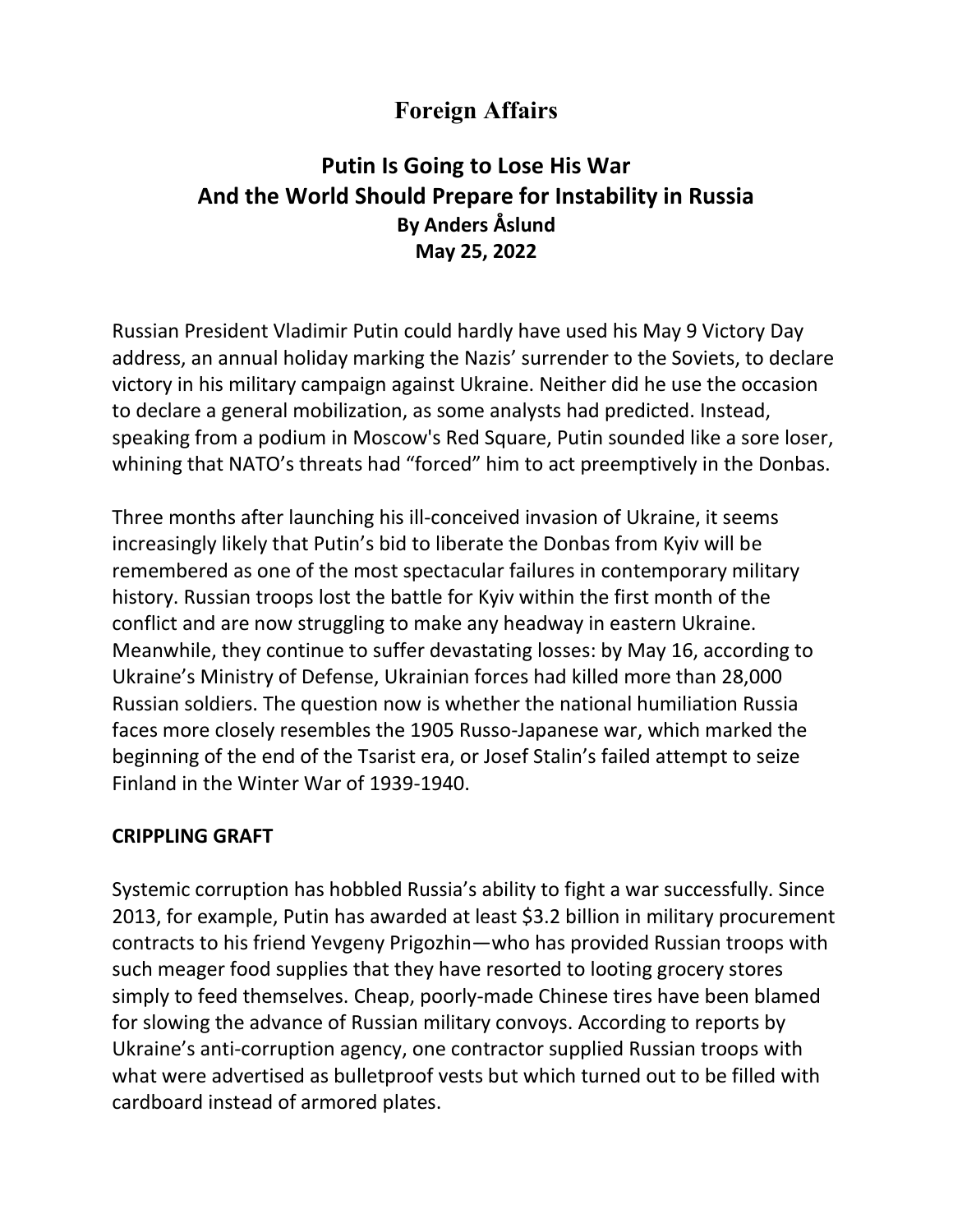# **Foreign Affairs**

## **Putin Is Going to Lose His War And the World Should Prepare for Instability in Russia By Anders Åslund May 25, 2022**

Russian President Vladimir Putin could hardly have used his May 9 Victory Day address, an annual holiday marking the Nazis' surrender to the Soviets, to declare victory in his military campaign against Ukraine. Neither did he use the occasion to declare a general mobilization, as some analysts had predicted. Instead, speaking from a podium in Moscow's Red Square, Putin sounded like a sore loser, whining that NATO's threats had "forced" him to act preemptively in the Donbas.

Three months after launching his ill-conceived invasion of Ukraine, it seems increasingly likely that Putin's bid to liberate the Donbas from Kyiv will be remembered as one of the most spectacular failures in contemporary military history. Russian troops lost the battle for Kyiv within the first month of the conflict and are now struggling to make any headway in eastern Ukraine. Meanwhile, they continue to suffer devastating losses: by May 16, according to Ukraine's Ministry of Defense, Ukrainian forces had killed more than 28,000 Russian soldiers. The question now is whether the national humiliation Russia faces more closely resembles the 1905 Russo-Japanese war, which marked the beginning of the end of the Tsarist era, or Josef Stalin's failed attempt to seize Finland in the Winter War of 1939-1940.

#### **CRIPPLING GRAFT**

Systemic corruption has hobbled Russia's ability to fight a war successfully. Since 2013, for example, Putin has awarded at least \$3.2 billion in military procurement contracts to his friend Yevgeny Prigozhin—who has provided Russian troops with such meager food supplies that they have resorted to looting grocery stores simply to feed themselves. Cheap, poorly-made Chinese tires have been blamed for slowing the advance of Russian military convoys. According to reports by Ukraine's anti-corruption agency, one contractor supplied Russian troops with what were advertised as bulletproof vests but which turned out to be filled with cardboard instead of armored plates.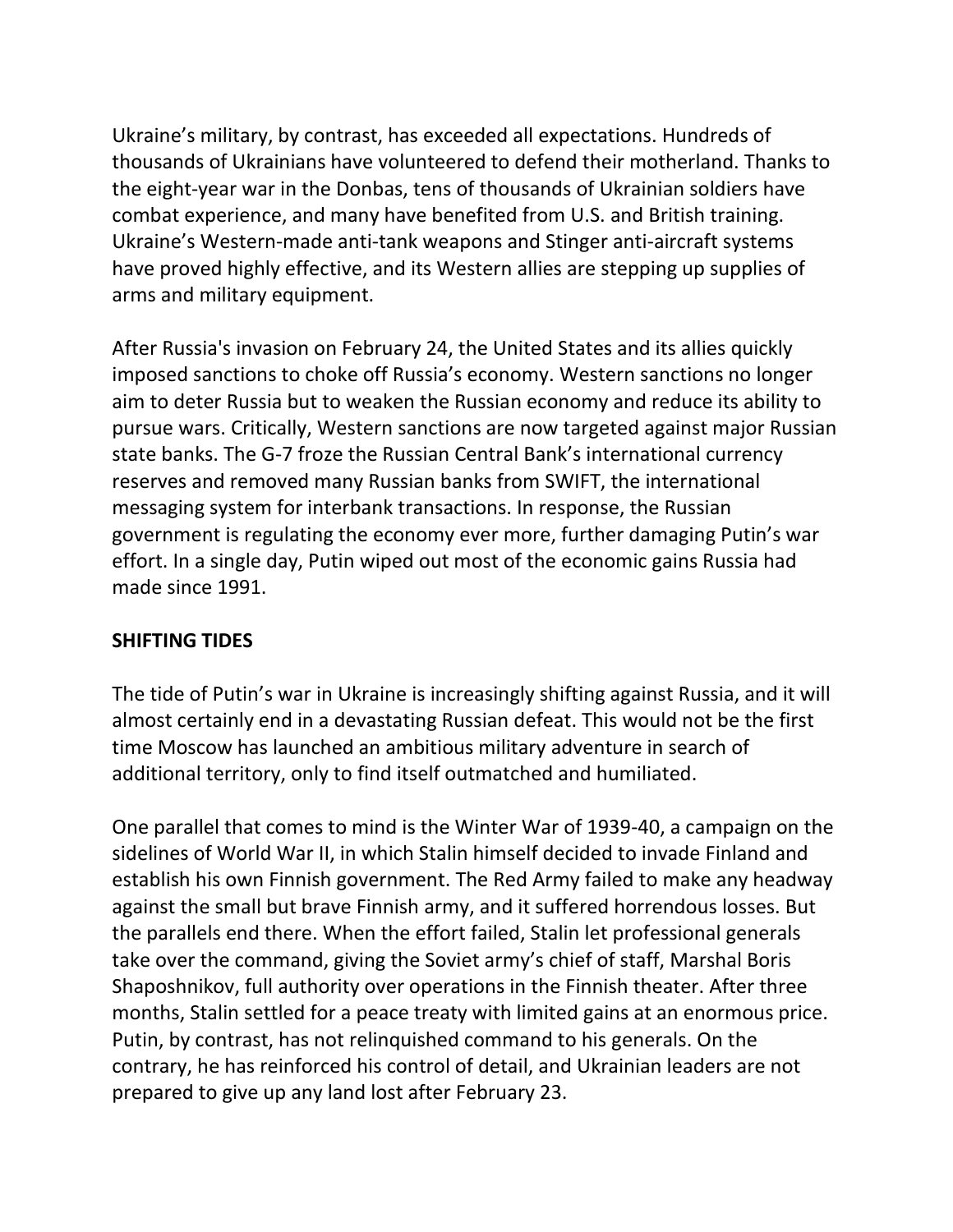Ukraine's military, by contrast, has exceeded all expectations. Hundreds of thousands of Ukrainians have volunteered to defend their motherland. Thanks to the eight-year war in the Donbas, tens of thousands of Ukrainian soldiers have combat experience, and many have benefited from U.S. and British training. Ukraine's Western-made anti-tank weapons and Stinger anti-aircraft systems have proved highly effective, and its Western allies are stepping up supplies of arms and military equipment.

After Russia's invasion on February 24, the United States and its allies quickly imposed sanctions to choke off Russia's economy. Western sanctions no longer aim to deter Russia but to weaken the Russian economy and reduce its ability to pursue wars. Critically, Western sanctions are now targeted against major Russian state banks. The G-7 froze the Russian Central Bank's international currency reserves and removed many Russian banks from SWIFT, the international messaging system for interbank transactions. In response, the Russian government is regulating the economy ever more, further damaging Putin's war effort. In a single day, Putin wiped out most of the economic gains Russia had made since 1991.

#### **SHIFTING TIDES**

The tide of Putin's war in Ukraine is increasingly shifting against Russia, and it will almost certainly end in a devastating Russian defeat. This would not be the first time Moscow has launched an ambitious military adventure in search of additional territory, only to find itself outmatched and humiliated.

One parallel that comes to mind is the Winter War of 1939-40, a campaign on the sidelines of World War II, in which Stalin himself decided to invade Finland and establish his own Finnish government. The Red Army failed to make any headway against the small but brave Finnish army, and it suffered horrendous losses. But the parallels end there. When the effort failed, Stalin let professional generals take over the command, giving the Soviet army's chief of staff, Marshal Boris Shaposhnikov, full authority over operations in the Finnish theater. After three months, Stalin settled for a peace treaty with limited gains at an enormous price. Putin, by contrast, has not relinquished command to his generals. On the contrary, he has reinforced his control of detail, and Ukrainian leaders are not prepared to give up any land lost after February 23.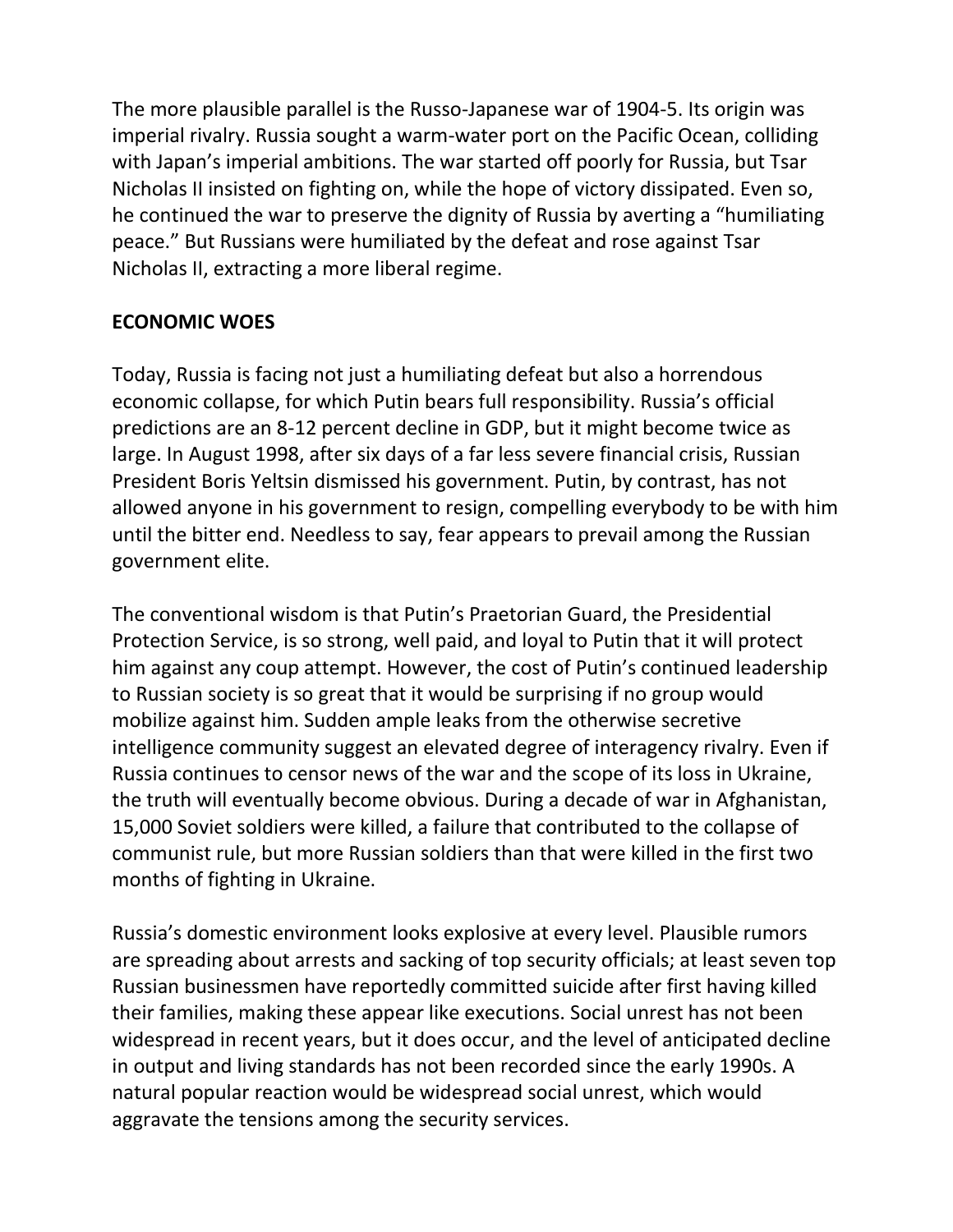The more plausible parallel is the Russo-Japanese war of 1904-5. Its origin was imperial rivalry. Russia sought a warm-water port on the Pacific Ocean, colliding with Japan's imperial ambitions. The war started off poorly for Russia, but Tsar Nicholas II insisted on fighting on, while the hope of victory dissipated. Even so, he continued the war to preserve the dignity of Russia by averting a "humiliating peace." But Russians were humiliated by the defeat and rose against Tsar Nicholas II, extracting a more liberal regime.

### **ECONOMIC WOES**

Today, Russia is facing not just a humiliating defeat but also a horrendous economic collapse, for which Putin bears full responsibility. Russia's official predictions are an 8-12 percent decline in GDP, but it might become twice as large. In August 1998, after six days of a far less severe financial crisis, Russian President Boris Yeltsin dismissed his government. Putin, by contrast, has not allowed anyone in his government to resign, compelling everybody to be with him until the bitter end. Needless to say, fear appears to prevail among the Russian government elite.

The conventional wisdom is that Putin's Praetorian Guard, the Presidential Protection Service, is so strong, well paid, and loyal to Putin that it will protect him against any coup attempt. However, the cost of Putin's continued leadership to Russian society is so great that it would be surprising if no group would mobilize against him. Sudden ample leaks from the otherwise secretive intelligence community suggest an elevated degree of interagency rivalry. Even if Russia continues to censor news of the war and the scope of its loss in Ukraine, the truth will eventually become obvious. During a decade of war in Afghanistan, 15,000 Soviet soldiers were killed, a failure that contributed to the collapse of communist rule, but more Russian soldiers than that were killed in the first two months of fighting in Ukraine.

Russia's domestic environment looks explosive at every level. Plausible rumors are spreading about arrests and sacking of top security officials; at least seven top Russian businessmen have reportedly committed suicide after first having killed their families, making these appear like executions. Social unrest has not been widespread in recent years, but it does occur, and the level of anticipated decline in output and living standards has not been recorded since the early 1990s. A natural popular reaction would be widespread social unrest, which would aggravate the tensions among the security services.